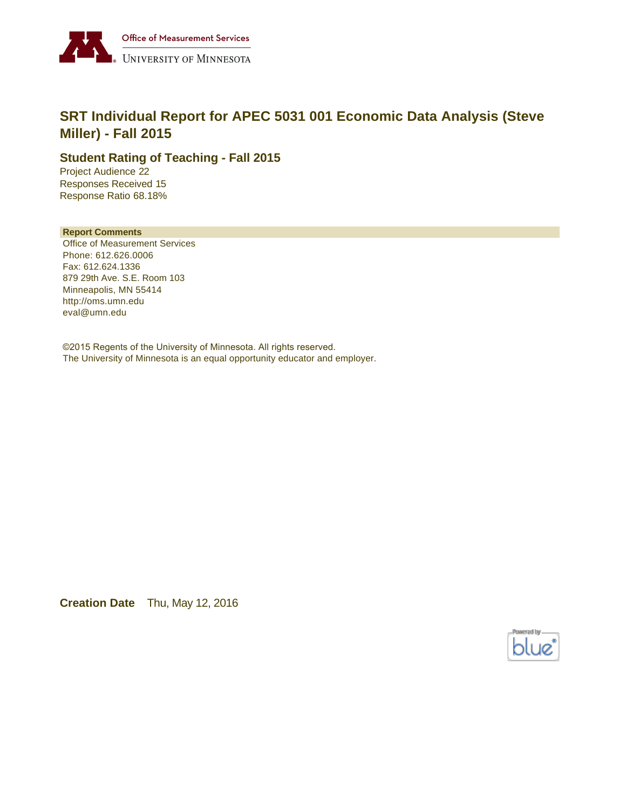

# **SRT Individual Report for APEC 5031 001 Economic Data Analysis (Steve Miller) - Fall 2015**

### **Student Rating of Teaching - Fall 2015**

Project Audience 22 Responses Received 15 Response Ratio 68.18%

#### **Report Comments**

Office of Measurement Services Phone: 612.626.0006 Fax: 612.624.1336 879 29th Ave. S.E. Room 103 Minneapolis, MN 55414 http://oms.umn.edu eval@umn.edu

©2015 Regents of the University of Minnesota. All rights reserved. The University of Minnesota is an equal opportunity educator and employer.

**Creation Date** Thu, May 12, 2016

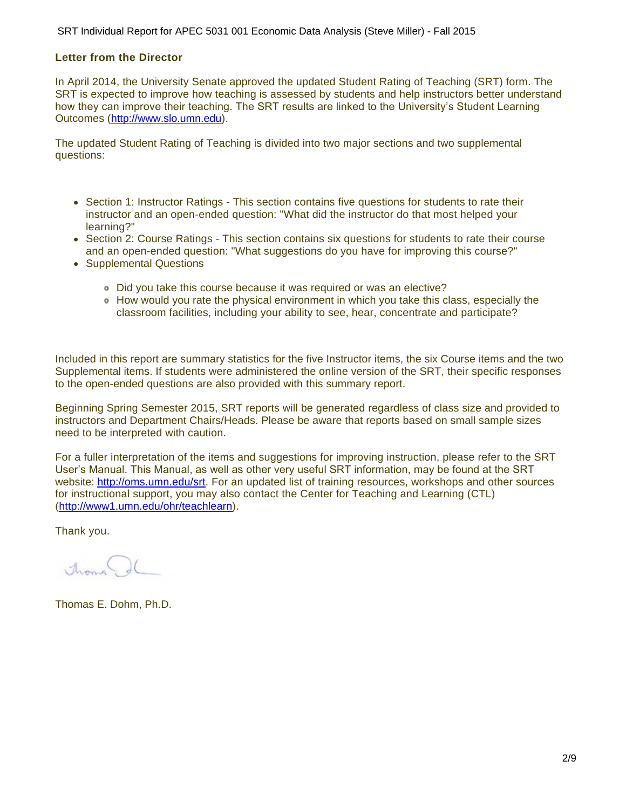#### **Letter from the Director**

In April 2014, the University Senate approved the updated Student Rating of Teaching (SRT) form. The SRT is expected to improve how teaching is assessed by students and help instructors better understand how they can improve their teaching. The SRT results are linked to the University's Student Learning Outcomes ([http://www.slo.umn.edu\)](http://www.slo.umn.edu).

The updated Student Rating of Teaching is divided into two major sections and two supplemental questions:

- Section 1: Instructor Ratings This section contains five questions for students to rate their instructor and an open-ended question: "What did the instructor do that most helped your learning?"
- Section 2: Course Ratings This section contains six questions for students to rate their course and an open-ended question: "What suggestions do you have for improving this course?"
- Supplemental Questions
	- Did you take this course because it was required or was an elective?
	- How would you rate the physical environment in which you take this class, especially the classroom facilities, including your ability to see, hear, concentrate and participate?

Included in this report are summary statistics for the five Instructor items, the six Course items and the two Supplemental items. If students were administered the online version of the SRT, their specific responses to the open-ended questions are also provided with this summary report.

Beginning Spring Semester 2015, SRT reports will be generated regardless of class size and provided to instructors and Department Chairs/Heads. Please be aware that reports based on small sample sizes need to be interpreted with caution.

For a fuller interpretation of the items and suggestions for improving instruction, please refer to the SRT User's Manual. This Manual, as well as other very useful SRT information, may be found at the SRT website:<http://oms.umn.edu/srt>. For an updated list of training resources, workshops and other sources for instructional support, you may also contact the Center for Teaching and Learning (CTL) (<http://www1.umn.edu/ohr/teachlearn>).

Thank you.

America

Thomas E. Dohm, Ph.D.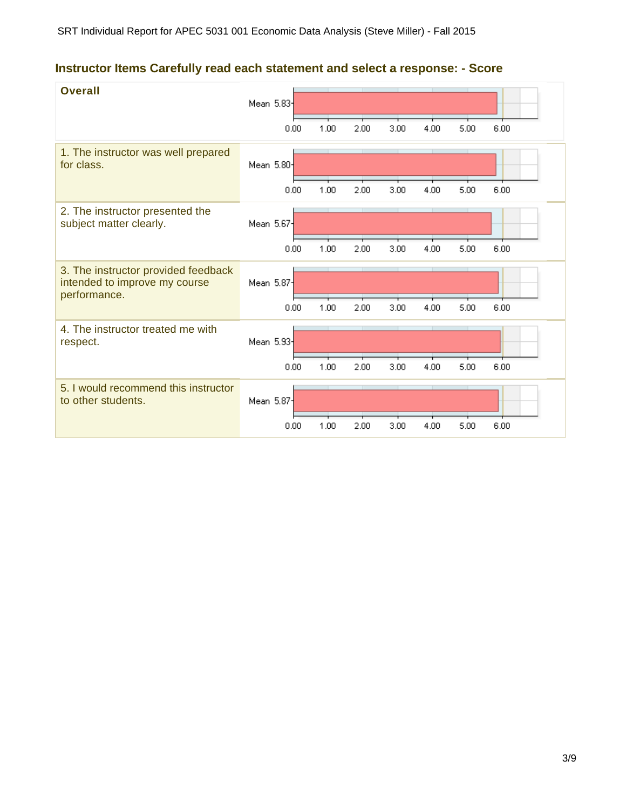# **Instructor Items Carefully read each statement and select a response: - Score**

| <b>Overall</b>                                                                       | Mean 5.83<br>0.00 | 1.00 | 2.00 | 3.00 | 4.00 | 5.00 | 6.00 |
|--------------------------------------------------------------------------------------|-------------------|------|------|------|------|------|------|
| 1. The instructor was well prepared<br>for class.                                    | Mean 5.80-        |      |      |      |      |      |      |
| 2. The instructor presented the                                                      | 0.00              | 1.00 | 2.00 | 3.00 | 4.00 | 5.00 | 6.00 |
| subject matter clearly.                                                              | Mean 5.67         |      |      |      |      |      |      |
|                                                                                      | 0.00              | 1.00 | 2.00 | 3.00 | 4.00 | 5.00 | 6.00 |
| 3. The instructor provided feedback<br>intended to improve my course<br>performance. | Mean 5.87         |      |      |      |      |      |      |
|                                                                                      | 0.00              | 1.00 | 2.00 | 3.00 | 4.00 | 5.00 | 6.00 |
| 4. The instructor treated me with<br>respect.                                        | Mean 5.93         |      |      |      |      |      |      |
|                                                                                      | 0.00              | 1.00 | 2.00 | 3.00 | 4.00 | 5.00 | 6.00 |
| 5. I would recommend this instructor<br>to other students.                           | Mean 5.87-        |      |      |      |      |      |      |
|                                                                                      | 0.00              | 1.00 | 2.00 | 3.00 | 4.00 | 5.00 | 6.00 |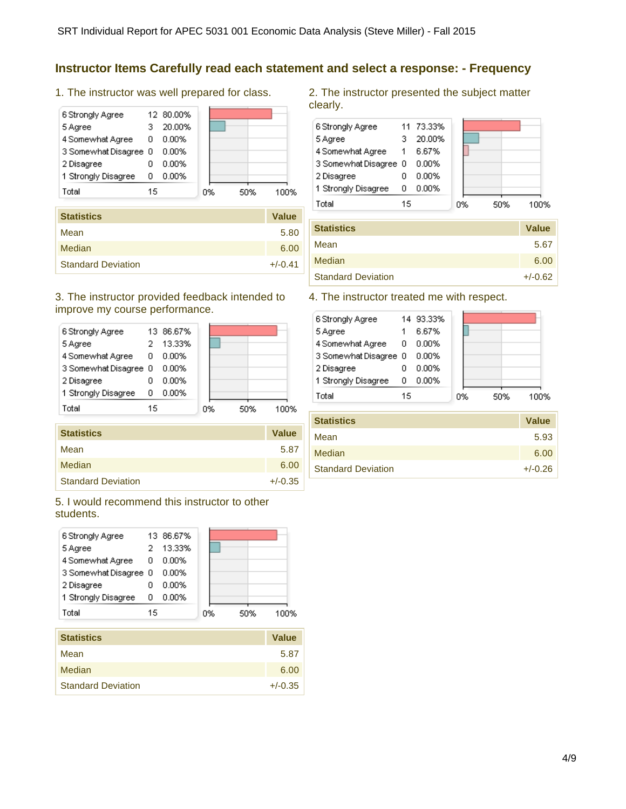### **Instructor Items Carefully read each statement and select a response: - Frequency**

1. The instructor was well prepared for class.

| 6 Strongly Agree      |    | 12 80.00% |    |     |      |
|-----------------------|----|-----------|----|-----|------|
| 5 Agree               | з  | 20.00%    |    |     |      |
| 4 Somewhat Agree      | 0  | 0.00%     |    |     |      |
| 3 Somewhat Disagree 0 |    | 0.00%     |    |     |      |
| 2 Disagree            |    | 0.00%     |    |     |      |
| 1 Strongly Disagree   | ο  | $0.00\%$  |    |     |      |
| Total                 | 15 |           | 0% | 50% | 100% |
|                       |    |           |    |     |      |

| <b>Statistics</b>         | <b>Value</b> |
|---------------------------|--------------|
| Mean                      | 5.80         |
| Median                    | 6.00         |
| <b>Standard Deviation</b> | $+/-0.41$    |

#### 3. The instructor provided feedback intended to improve my course performance.

| 6 Strongly Agree      |    | 13 86.67% |    |     |      |
|-----------------------|----|-----------|----|-----|------|
| 5 Agree               |    | 13.33%    |    |     |      |
| 4 Somewhat Agree      | 0  | 0.00%     |    |     |      |
| 3 Somewhat Disagree 0 |    | 0.00%     |    |     |      |
| 2 Disagree            |    | 0.00%     |    |     |      |
| 1 Strongly Disagree   | ο  | $0.00\%$  |    |     |      |
| Total                 | 15 |           | 0% | 50% | 100% |

| <b>Statistics</b>         | <b>Value</b> |
|---------------------------|--------------|
| Mean                      | 5.87         |
| Median                    | 6.00         |
| <b>Standard Deviation</b> | $+/-0.35$    |

5. I would recommend this instructor to other students.



| <b>Statistics</b>         | <b>Value</b> |
|---------------------------|--------------|
| Mean                      | 5.87         |
| Median                    | 6.00         |
| <b>Standard Deviation</b> | $+/-0.35$    |

2. The instructor presented the subject matter clearly.

| 6 Strongly Agree      |    | 11 73.33% |    |     |     |
|-----------------------|----|-----------|----|-----|-----|
| 5 Agree               |    | 20.00%    |    |     |     |
| 4 Somewhat Agree      | -1 | 6.67%     |    |     |     |
| 3 Somewhat Disagree 0 |    | 0.00%     |    |     |     |
| 2 Disagree            |    | 0.00%     |    |     |     |
| 1 Strongly Disagree   | n  | 0.00%     |    |     |     |
| Total                 | 15 |           | 0% | 50% | 00% |

| <b>Statistics</b>         | <b>Value</b> |
|---------------------------|--------------|
| Mean                      | 5.67         |
| Median                    | 6.00         |
| <b>Standard Deviation</b> | $+/-0.62$    |

#### 4. The instructor treated me with respect.

| 6 Strongly Agree      |    | 14 93.33% |    |     |      |
|-----------------------|----|-----------|----|-----|------|
| 5 Agree               |    | 6.67%     |    |     |      |
| 4 Somewhat Agree      | 0  | 0.00%     |    |     |      |
| 3 Somewhat Disagree 0 |    | 0.00%     |    |     |      |
| 2 Disagree            |    | 0.00%     |    |     |      |
| 1 Strongly Disagree   | 0  | $0.00\%$  |    |     |      |
| Total                 | 15 |           | 0% | 50% | 100% |

| <b>Statistics</b>         | Value     |
|---------------------------|-----------|
| Mean                      | 5.93      |
| Median                    | 6.00      |
| <b>Standard Deviation</b> | $+/-0.26$ |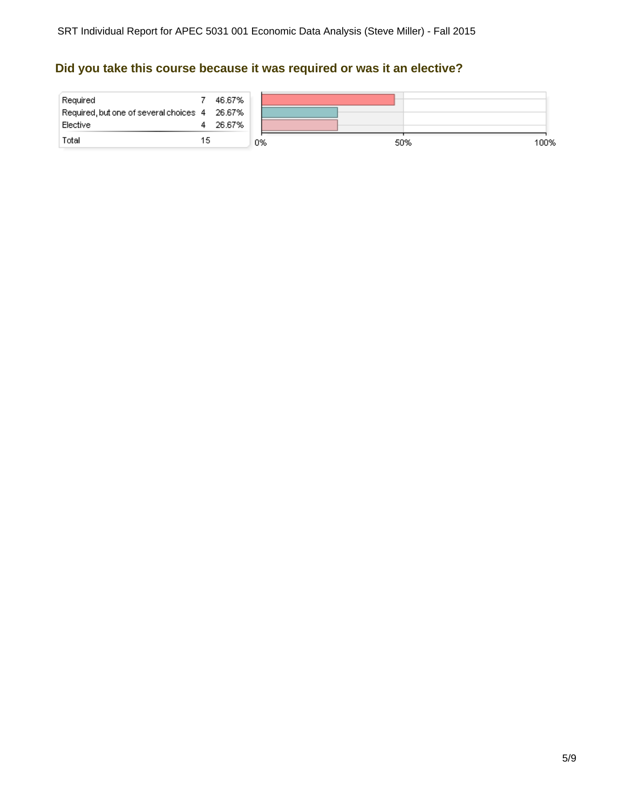### **Did you take this course because it was required or was it an elective?**

| Required<br>Required, but one of several choices 4 26.67% |    | 46.67% |    |     |      |
|-----------------------------------------------------------|----|--------|----|-----|------|
| Elective                                                  |    | 26.67% |    |     |      |
| Total                                                     | 15 |        | 0% | 50% | 100% |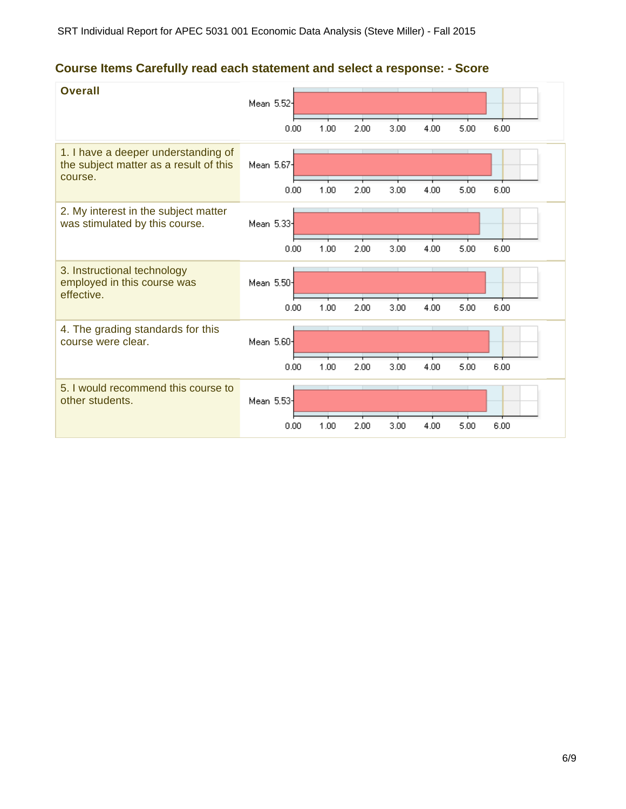# **Course Items Carefully read each statement and select a response: - Score**

| <b>Overall</b>                                                                           | Mean 5.52              | 0.00 | 1.00 | 2.00 | 3.00 | 4.00 | 5.00 | 6.00 |
|------------------------------------------------------------------------------------------|------------------------|------|------|------|------|------|------|------|
| 1. I have a deeper understanding of<br>the subject matter as a result of this<br>course. | Mean 5.67-             |      |      |      |      |      |      |      |
|                                                                                          |                        | 0.00 | 1.00 | 2.00 | 3.00 | 4.00 | 5.00 | 6.00 |
| 2. My interest in the subject matter<br>was stimulated by this course.                   | Mean 5.33              |      |      |      |      |      |      |      |
|                                                                                          |                        | 0.00 | 1.00 | 2.00 | 3.00 | 4.00 | 5.00 | 6.00 |
| 3. Instructional technology<br>employed in this course was<br>effective.                 | Mean 5.50              |      |      |      |      |      |      |      |
|                                                                                          |                        | 0.00 | 1.00 | 2.00 | 3.00 | 4.00 | 5.00 | 6.00 |
| 4. The grading standards for this<br>course were clear.                                  | Mean 5.60-             |      |      |      |      |      |      |      |
|                                                                                          |                        | 0.00 | 1.00 | 2.00 | 3.00 | 4.00 | 5.00 | 6.00 |
| 5. I would recommend this course to<br>other students.                                   | Mean 5.53 <sup>-</sup> |      |      |      |      |      |      |      |
|                                                                                          |                        | 0.00 | 1.00 | 2.00 | 3.00 | 4.00 | 5.00 | 6.00 |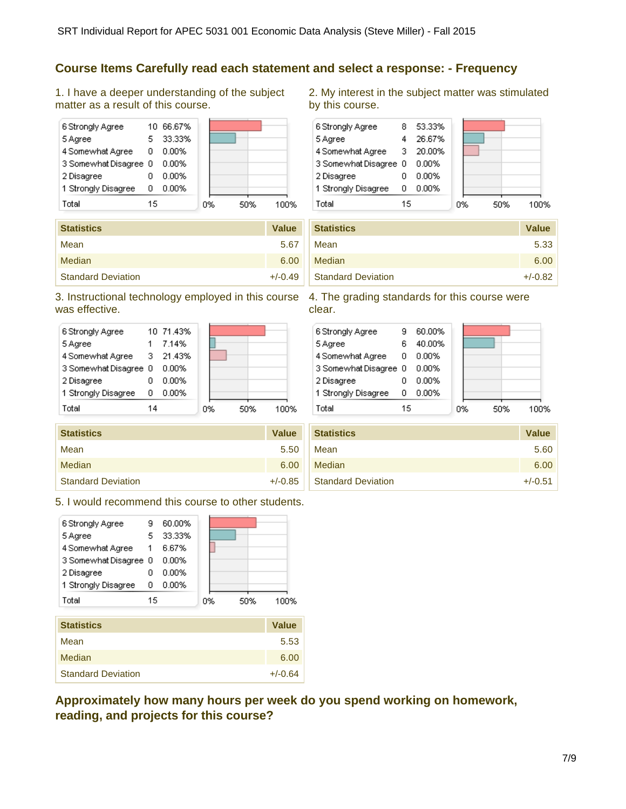### **Course Items Carefully read each statement and select a response: - Frequency**

1. I have a deeper understanding of the subject matter as a result of this course.



| <b>Statistics</b>         | <b>Value</b> |
|---------------------------|--------------|
| Mean                      | 5.67         |
| Median                    | 6.00         |
| <b>Standard Deviation</b> | $+/-0.49$    |

### 3. Instructional technology employed in this course 4. The grading standards for this course were was effective.

|            | 6 Strongly Agree      |    | 10 71.43% |    |     |      |
|------------|-----------------------|----|-----------|----|-----|------|
| 5 Agree    |                       |    | 7.14%     |    |     |      |
|            | 4 Somewhat Agree      |    | 3 21.43%  |    |     |      |
|            | 3 Somewhat Disagree 0 |    | $0.00\%$  |    |     |      |
| 2 Disagree |                       |    | 0.00%     |    |     |      |
|            | 1 Strongly Disagree   | ο  | $0.00\%$  |    |     |      |
| Total      |                       | 14 |           | 0% | 50% | 100% |

| <b>Statistics</b>         | <b>Value</b> |
|---------------------------|--------------|
| Mean                      | 5.50         |
| Median                    | 6.00         |
| <b>Standard Deviation</b> | $+/-0.85$    |

5. I would recommend this course to other students.



| Mean                      | 5.53      |
|---------------------------|-----------|
| Median                    | 6.00      |
| <b>Standard Deviation</b> | $+/-0.64$ |

**Approximately how many hours per week do you spend working on homework, reading, and projects for this course?**

2. My interest in the subject matter was stimulated by this course.



| <b>Statistics</b>         | <b>Value</b> |
|---------------------------|--------------|
| Mean                      | 5.33         |
| Median                    | 6.00         |
| <b>Standard Deviation</b> | $+/-0.82$    |

clear.

| 6 Strongly Agree      |    | 60.00% |    |     |      |
|-----------------------|----|--------|----|-----|------|
| 5 Agree               | ĥ  | 40.00% |    |     |      |
| 4 Somewhat Agree      | 0  | 0.00%  |    |     |      |
| 3 Somewhat Disagree 0 |    | 0.00%  |    |     |      |
| 2 Disagree            |    | 0.00%  |    |     |      |
| 1 Strongly Disagree   | 0  | 0.00%  |    |     |      |
| Total                 | 15 |        | 0% | 50% | 1በበ% |

| <b>Statistics</b>         | Value     |
|---------------------------|-----------|
| Mean                      | 5.60      |
| Median                    | 6.00      |
| <b>Standard Deviation</b> | $+/-0.51$ |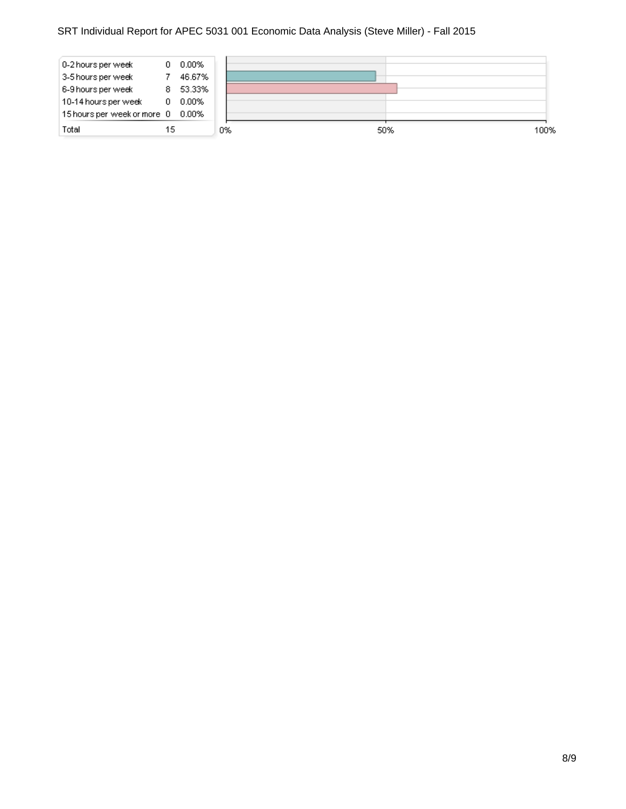### SRT Individual Report for APEC 5031 001 Economic Data Analysis (Steve Miller) - Fall 2015